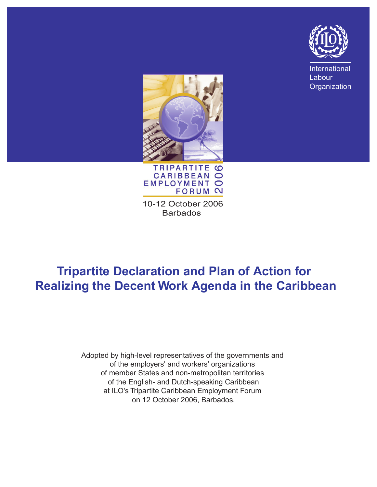

International Labour **Organization** 





10-12 October 2006 **Barbados** 

# **Tripartite Declaration and Plan of Action for Realizing the Decent Work Agenda in the Caribbean**

Adopted by high-level representatives of the governments and of the employers' and workers' organizations of member States and non-metropolitan territories of the English- and Dutch-speaking Caribbean at ILO's Tripartite Caribbean Employment Forum on 12 October 2006, Barbados.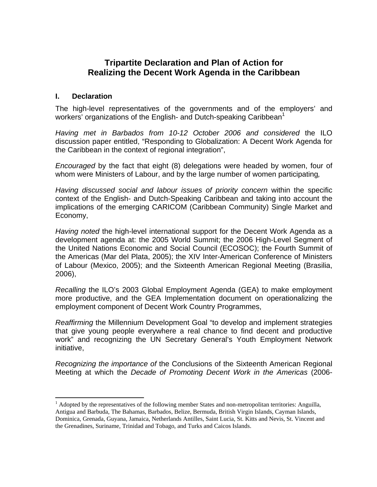# **Tripartite Declaration and Plan of Action for Realizing the Decent Work Agenda in the Caribbean**

#### **I. Declaration**

1

The high-level representatives of the governments and of the employers' and workers' organizations of the English- and Dutch-speaking Caribbean<sup>[1](#page-1-0)</sup>

*Having met in Barbados from 10-12 October 2006 and considered* the ILO discussion paper entitled, "Responding to Globalization: A Decent Work Agenda for the Caribbean in the context of regional integration",

*Encouraged* by the fact that eight (8) delegations were headed by women, four of whom were Ministers of Labour, and by the large number of women participating*,* 

*Having discussed social and labour issues of priority concern* within the specific context of the English- and Dutch-Speaking Caribbean and taking into account the implications of the emerging CARICOM (Caribbean Community) Single Market and Economy,

*Having noted* the high-level international support for the Decent Work Agenda as a development agenda at: the 2005 World Summit; the 2006 High-Level Segment of the United Nations Economic and Social Council (ECOSOC); the Fourth Summit of the Americas (Mar del Plata, 2005); the XIV Inter-American Conference of Ministers of Labour (Mexico, 2005); and the Sixteenth American Regional Meeting (Brasilia, 2006),

*Recalling* the ILO's 2003 Global Employment Agenda (GEA) to make employment more productive, and the GEA Implementation document on operationalizing the employment component of Decent Work Country Programmes,

*Reaffirming* the Millennium Development Goal "to develop and implement strategies that give young people everywhere a real chance to find decent and productive work" and recognizing the UN Secretary General's Youth Employment Network initiative,

*Recognizing the importance of* the Conclusions of the Sixteenth American Regional Meeting at which the *Decade of Promoting Decent Work in the Americas* (2006-

<span id="page-1-0"></span><sup>&</sup>lt;sup>1</sup> Adopted by the representatives of the following member States and non-metropolitan territories: Anguilla, Antigua and Barbuda, The Bahamas, Barbados, Belize, Bermuda, British Virgin Islands, Cayman Islands, Dominica, Grenada, Guyana, Jamaica, Netherlands Antilles, Saint Lucia, St. Kitts and Nevis, St. Vincent and the Grenadines, Suriname, Trinidad and Tobago, and Turks and Caicos Islands.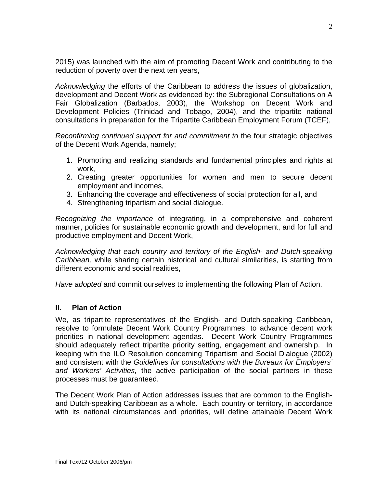2015) was launched with the aim of promoting Decent Work and contributing to the reduction of poverty over the next ten years,

*Acknowledging* the efforts of the Caribbean to address the issues of globalization, development and Decent Work as evidenced by: the Subregional Consultations on A Fair Globalization (Barbados, 2003), the Workshop on Decent Work and Development Policies (Trinidad and Tobago, 2004), and the tripartite national consultations in preparation for the Tripartite Caribbean Employment Forum (TCEF),

*Reconfirming continued support for and commitment to* the four strategic objectives of the Decent Work Agenda, namely;

- 1. Promoting and realizing standards and fundamental principles and rights at work,
- 2. Creating greater opportunities for women and men to secure decent employment and incomes,
- 3. Enhancing the coverage and effectiveness of social protection for all, and
- 4. Strengthening tripartism and social dialogue.

*Recognizing the importance* of integrating, in a comprehensive and coherent manner, policies for sustainable economic growth and development, and for full and productive employment and Decent Work,

*Acknowledging that each country and territory of the English- and Dutch-speaking Caribbean,* while sharing certain historical and cultural similarities, is starting from different economic and social realities,

*Have adopted* and commit ourselves to implementing the following Plan of Action.

#### **II. Plan of Action**

We, as tripartite representatives of the English- and Dutch-speaking Caribbean, resolve to formulate Decent Work Country Programmes, to advance decent work priorities in national development agendas. Decent Work Country Programmes should adequately reflect tripartite priority setting, engagement and ownership. In keeping with the ILO Resolution concerning Tripartism and Social Dialogue (2002) and consistent with the *Guidelines for consultations with the Bureaux for Employers' and Workers' Activities,* the active participation of the social partners in these processes must be guaranteed.

The Decent Work Plan of Action addresses issues that are common to the Englishand Dutch-speaking Caribbean as a whole. Each country or territory, in accordance with its national circumstances and priorities, will define attainable Decent Work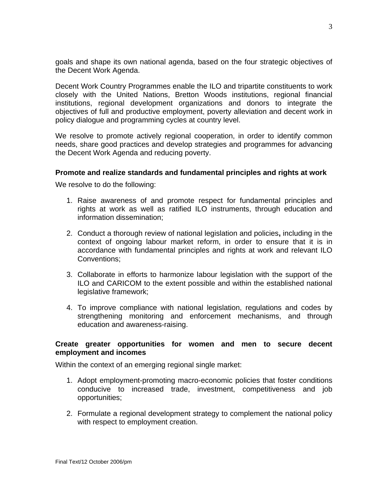goals and shape its own national agenda, based on the four strategic objectives of the Decent Work Agenda.

Decent Work Country Programmes enable the ILO and tripartite constituents to work closely with the United Nations, Bretton Woods institutions, regional financial institutions, regional development organizations and donors to integrate the objectives of full and productive employment, poverty alleviation and decent work in policy dialogue and programming cycles at country level.

We resolve to promote actively regional cooperation, in order to identify common needs, share good practices and develop strategies and programmes for advancing the Decent Work Agenda and reducing poverty.

#### **Promote and realize standards and fundamental principles and rights at work**

We resolve to do the following:

- 1. Raise awareness of and promote respect for fundamental principles and rights at work as well as ratified ILO instruments, through education and information dissemination;
- 2. Conduct a thorough review of national legislation and policies**,** including in the context of ongoing labour market reform, in order to ensure that it is in accordance with fundamental principles and rights at work and relevant ILO Conventions;
- 3. Collaborate in efforts to harmonize labour legislation with the support of the ILO and CARICOM to the extent possible and within the established national legislative framework;
- 4. To improve compliance with national legislation, regulations and codes by strengthening monitoring and enforcement mechanisms, and through education and awareness-raising.

#### **Create greater opportunities for women and men to secure decent employment and incomes**

Within the context of an emerging regional single market:

- 1. Adopt employment-promoting macro-economic policies that foster conditions conducive to increased trade, investment, competitiveness and job opportunities;
- 2. Formulate a regional development strategy to complement the national policy with respect to employment creation.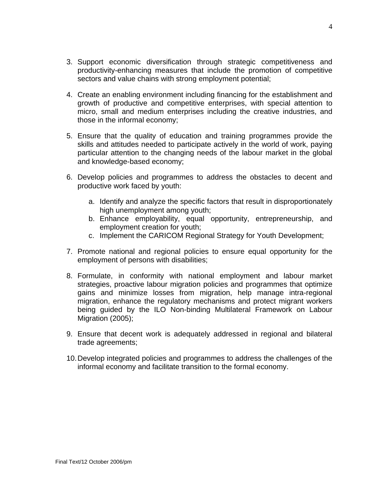- 3. Support economic diversification through strategic competitiveness and productivity-enhancing measures that include the promotion of competitive sectors and value chains with strong employment potential;
- 4. Create an enabling environment including financing for the establishment and growth of productive and competitive enterprises, with special attention to micro, small and medium enterprises including the creative industries, and those in the informal economy;
- 5. Ensure that the quality of education and training programmes provide the skills and attitudes needed to participate actively in the world of work, paying particular attention to the changing needs of the labour market in the global and knowledge-based economy;
- 6. Develop policies and programmes to address the obstacles to decent and productive work faced by youth:
	- a. Identify and analyze the specific factors that result in disproportionately high unemployment among youth;
	- b. Enhance employability, equal opportunity, entrepreneurship, and employment creation for youth;
	- c. Implement the CARICOM Regional Strategy for Youth Development;
- 7. Promote national and regional policies to ensure equal opportunity for the employment of persons with disabilities;
- 8. Formulate, in conformity with national employment and labour market strategies, proactive labour migration policies and programmes that optimize gains and minimize losses from migration, help manage intra-regional migration, enhance the regulatory mechanisms and protect migrant workers being guided by the ILO Non-binding Multilateral Framework on Labour Migration (2005);
- 9. Ensure that decent work is adequately addressed in regional and bilateral trade agreements;
- 10. Develop integrated policies and programmes to address the challenges of the informal economy and facilitate transition to the formal economy.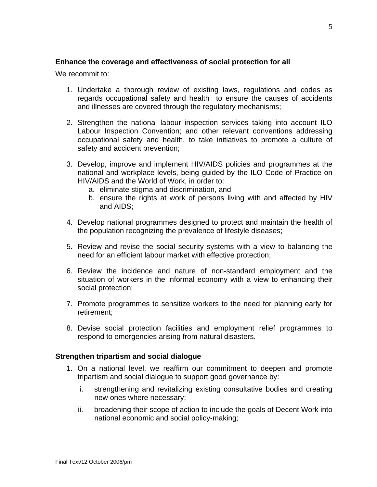#### **Enhance the coverage and effectiveness of social protection for all**

We recommit to:

- 1. Undertake a thorough review of existing laws, regulations and codes as regards occupational safety and health to ensure the causes of accidents and illnesses are covered through the regulatory mechanisms;
- 2. Strengthen the national labour inspection services taking into account ILO Labour Inspection Convention; and other relevant conventions addressing occupational safety and health, to take initiatives to promote a culture of safety and accident prevention;
- 3. Develop, improve and implement HIV/AIDS policies and programmes at the national and workplace levels, being guided by the ILO Code of Practice on HIV/AIDS and the World of Work, in order to:
	- a. eliminate stigma and discrimination, and
	- b. ensure the rights at work of persons living with and affected by HIV and AIDS;
- 4. Develop national programmes designed to protect and maintain the health of the population recognizing the prevalence of lifestyle diseases;
- 5. Review and revise the social security systems with a view to balancing the need for an efficient labour market with effective protection;
- 6. Review the incidence and nature of non-standard employment and the situation of workers in the informal economy with a view to enhancing their social protection;
- 7. Promote programmes to sensitize workers to the need for planning early for retirement;
- 8. Devise social protection facilities and employment relief programmes to respond to emergencies arising from natural disasters.

#### **Strengthen tripartism and social dialogue**

- 1. On a national level, we reaffirm our commitment to deepen and promote tripartism and social dialogue to support good governance by:
	- i. strengthening and revitalizing existing consultative bodies and creating new ones where necessary;
	- ii. broadening their scope of action to include the goals of Decent Work into national economic and social policy-making;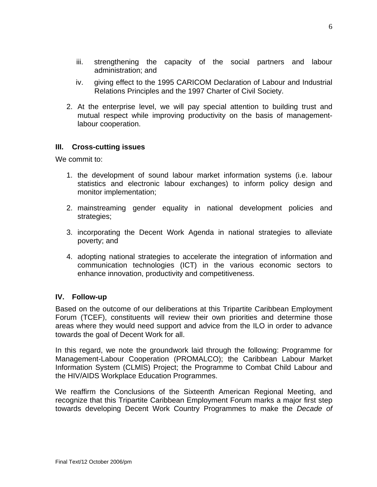- iii. strengthening the capacity of the social partners and labour administration; and
- iv. giving effect to the 1995 CARICOM Declaration of Labour and Industrial Relations Principles and the 1997 Charter of Civil Society.
- 2. At the enterprise level, we will pay special attention to building trust and mutual respect while improving productivity on the basis of managementlabour cooperation.

## **III. Cross-cutting issues**

We commit to:

- 1. the development of sound labour market information systems (i.e. labour statistics and electronic labour exchanges) to inform policy design and monitor implementation;
- 2. mainstreaming gender equality in national development policies and strategies;
- 3. incorporating the Decent Work Agenda in national strategies to alleviate poverty; and
- 4. adopting national strategies to accelerate the integration of information and communication technologies (ICT) in the various economic sectors to enhance innovation, productivity and competitiveness.

## **IV. Follow-up**

Based on the outcome of our deliberations at this Tripartite Caribbean Employment Forum (TCEF), constituents will review their own priorities and determine those areas where they would need support and advice from the ILO in order to advance towards the goal of Decent Work for all.

In this regard, we note the groundwork laid through the following: Programme for Management-Labour Cooperation (PROMALCO); the Caribbean Labour Market Information System (CLMIS) Project; the Programme to Combat Child Labour and the HIV/AIDS Workplace Education Programmes.

We reaffirm the Conclusions of the Sixteenth American Regional Meeting, and recognize that this Tripartite Caribbean Employment Forum marks a major first step towards developing Decent Work Country Programmes to make the *Decade of*